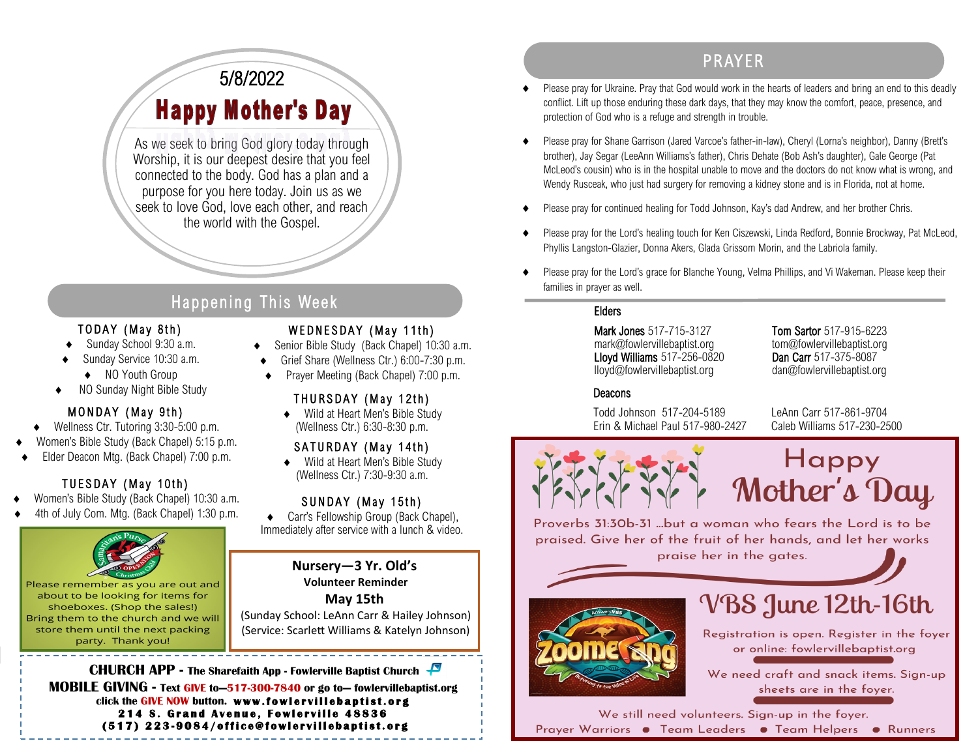### 5/8/2022 **Happy Mother's Day**

As we seek to bring God glory today through Worship, it is our deepest desire that you feel connected to the body. God has a plan and a purpose for you here today. Join us as we seek to love God, love each other, and reach the world with the Gospel.

### Happening This Week

#### TODAY (May 8th)

- Sunday School 9:30 a.m.
- Sunday Service 10:30 a.m.
- ◆ NO Youth Group
- NO Sunday Night Bible Study

#### MONDAY (May 9th)

- ◆ Wellness Ctr. Tutoring 3:30-5:00 p.m.
- Women's Bible Study (Back Chapel) 5:15 p.m.
- Elder Deacon Mtg. (Back Chapel) 7:00 p.m.

#### TUESDAY (May 10th)

- Women's Bible Study (Back Chapel) 10:30 a.m.
- 4th of July Com. Mtg. (Back Chapel) 1:30 p.m.



Please remember as you are out and about to be looking for items for shoeboxes. (Shop the sales!) Bring them to the church and we will store them until the next packing party. Thank you!

#### WEDNESDAY (May 11th)

- ◆ Senior Bible Study (Back Chapel) 10:30 a.m.
- Grief Share (Wellness Ctr.) 6:00-7:30 p.m.
- Prayer Meeting (Back Chapel) 7:00 p.m.

#### THURSDAY (May 12th)

◆ Wild at Heart Men's Bible Study (Wellness Ctr.) 6:30-8:30 p.m.

#### SATURDAY (May 14th)

◆ Wild at Heart Men's Bible Study (Wellness Ctr.) 7:30-9:30 a.m.

#### SUNDAY (May 15th)

 Carr's Fellowship Group (Back Chapel), Immediately after service with a lunch & video.

**Nursery—3 Yr. Old's**

**Volunteer Reminder**

**May 15th** (Sunday School: LeAnn Carr & Hailey Johnson) (Service: Scarlett Williams & Katelyn Johnson)

**CHURCH APP - The Sharefaith App - Fowlerville Baptist Church MOBILE GIVING - Text GIVE to—517-300-7840 or go to— fowlervillebaptist.org** click the GIVE NOW button. www.fowlervillebaptist.org **214 S. Grand Avenue, Fowlerville 48836 ( 5 1 7 ) 2 2 3 - 9 0 8 4 / o f f i c e @ f o w l e r v i l l e b a p t i s t . o r g** 

### PR AYER

- Please pray for Ukraine. Pray that God would work in the hearts of leaders and bring an end to this deadly conflict. Lift up those enduring these dark days, that they may know the comfort, peace, presence, and protection of God who is a refuge and strength in trouble.
- Please pray for Shane Garrison (Jared Varcoe's father-in-law), Cheryl (Lorna's neighbor), Danny (Brett's brother), Jay Segar (LeeAnn Williams's father), Chris Dehate (Bob Ash's daughter), Gale George (Pat McLeod's cousin) who is in the hospital unable to move and the doctors do not know what is wrong, and Wendy Rusceak, who just had surgery for removing a kidney stone and is in Florida, not at home.
- Please pray for continued healing for Todd Johnson, Kay's dad Andrew, and her brother Chris.
- Please pray for the Lord's healing touch for Ken Ciszewski, Linda Redford, Bonnie Brockway, Pat McLeod, Phyllis Langston-Glazier, Donna Akers, Glada Grissom Morin, and the Labriola family.
- Please pray for the Lord's grace for Blanche Young, Velma Phillips, and Vi Wakeman. Please keep their families in prayer as well.

#### Elders

Mark Jones 517-715-3127 Tom Sartor 517-915-6223 mark@fowlervillebaptist.org tom@fowlervillebaptist.org Lloyd Williams 517-256-0820 Dan Carr 517-375-8087 lloyd@fowlervillebaptist.org dan@fowlervillebaptist.org

#### **Deacons**

Todd Johnson 517-204-5189 LeAnn Carr 517-861-9704 Erin & Michael Paul 517-980-2427 Caleb Williams 517-230-2500



## **Happy** Mother's Day

Proverbs 31:30b-31 ...but a woman who fears the Lord is to be praised. Give her of the fruit of her hands, and let her works

praise her in the gates.



# VBS June 12th-16th

Registration is open. Register in the foyer or online: fowlervillebaptist.org

We need craft and snack items. Sign-up sheets are in the foyer.

We still need volunteers. Sign-up in the foyer. Prayer Warriors • Team Leaders • Team Helpers • Runners